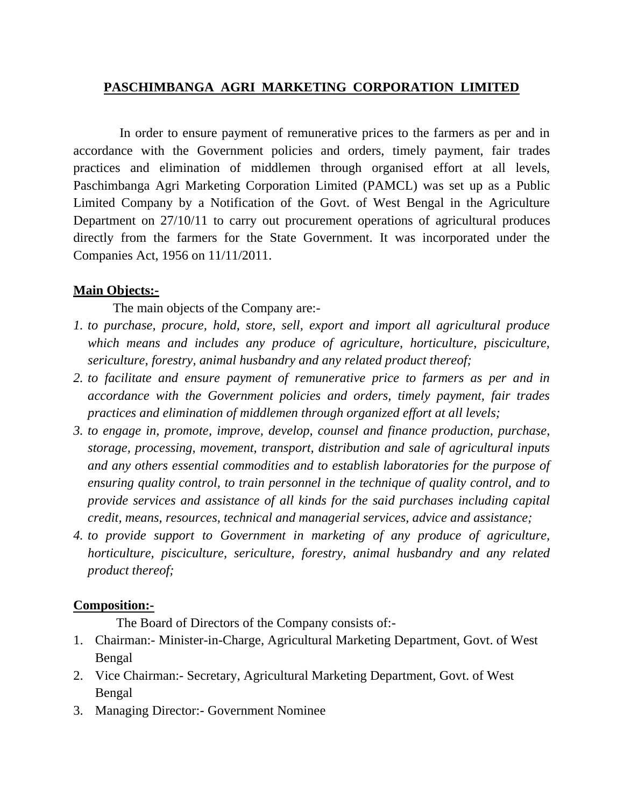### **PASCHIMBANGA AGRI MARKETING CORPORATION LIMITED**

 In order to ensure payment of remunerative prices to the farmers as per and in accordance with the Government policies and orders, timely payment, fair trades practices and elimination of middlemen through organised effort at all levels, Paschimbanga Agri Marketing Corporation Limited (PAMCL) was set up as a Public Limited Company by a Notification of the Govt. of West Bengal in the Agriculture Department on 27/10/11 to carry out procurement operations of agricultural produces directly from the farmers for the State Government. It was incorporated under the Companies Act, 1956 on 11/11/2011.

#### **Main Objects:-**

The main objects of the Company are:-

- *1. to purchase, procure, hold, store, sell, export and import all agricultural produce which means and includes any produce of agriculture, horticulture, pisciculture, sericulture, forestry, animal husbandry and any related product thereof;*
- *2. to facilitate and ensure payment of remunerative price to farmers as per and in accordance with the Government policies and orders, timely payment, fair trades practices and elimination of middlemen through organized effort at all levels;*
- *3. to engage in, promote, improve, develop, counsel and finance production, purchase, storage, processing, movement, transport, distribution and sale of agricultural inputs and any others essential commodities and to establish laboratories for the purpose of ensuring quality control, to train personnel in the technique of quality control, and to provide services and assistance of all kinds for the said purchases including capital credit, means, resources, technical and managerial services, advice and assistance;*
- *4. to provide support to Government in marketing of any produce of agriculture, horticulture, pisciculture, sericulture, forestry, animal husbandry and any related product thereof;*

#### **Composition:-**

The Board of Directors of the Company consists of:-

- 1. Chairman:- Minister-in-Charge, Agricultural Marketing Department, Govt. of West Bengal
- 2. Vice Chairman:- Secretary, Agricultural Marketing Department, Govt. of West Bengal
- 3. Managing Director:- Government Nominee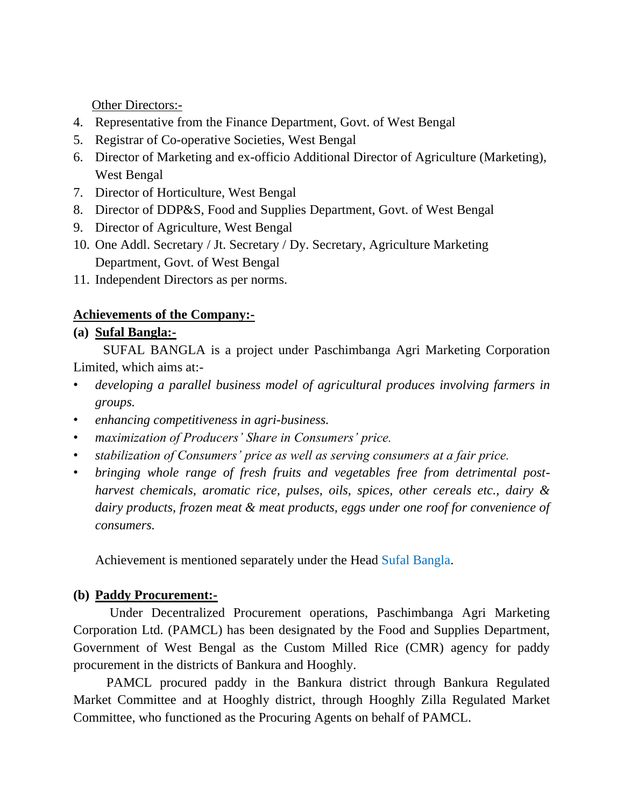Other Directors:-

- 4. Representative from the Finance Department, Govt. of West Bengal
- 5. Registrar of Co-operative Societies, West Bengal
- 6. Director of Marketing and ex-officio Additional Director of Agriculture (Marketing), West Bengal
- 7. Director of Horticulture, West Bengal
- 8. Director of DDP&S, Food and Supplies Department, Govt. of West Bengal
- 9. Director of Agriculture, West Bengal
- 10. One Addl. Secretary / Jt. Secretary / Dy. Secretary, Agriculture Marketing Department, Govt. of West Bengal
- 11. Independent Directors as per norms.

## **Achievements of the Company:-**

# **(a) Sufal Bangla:-**

 SUFAL BANGLA is a project under Paschimbanga Agri Marketing Corporation Limited, which aims at:-

- *developing a parallel business model of agricultural produces involving farmers in groups.*
- *enhancing competitiveness in agri-business.*
- *maximization of Producers' Share in Consumers' price.*
- *stabilization of Consumers' price as well as serving consumers at a fair price.*
- *bringing whole range of fresh fruits and vegetables free from detrimental postharvest chemicals, aromatic rice, pulses, oils, spices, other cereals etc., dairy & dairy products, frozen meat & meat products, eggs under one roof for convenience of consumers.*

Achievement is mentioned separately under the Head Sufal Bangla.

# **(b) Paddy Procurement:-**

 Under Decentralized Procurement operations, Paschimbanga Agri Marketing Corporation Ltd. (PAMCL) has been designated by the Food and Supplies Department, Government of West Bengal as the Custom Milled Rice (CMR) agency for paddy procurement in the districts of Bankura and Hooghly.

 PAMCL procured paddy in the Bankura district through Bankura Regulated Market Committee and at Hooghly district, through Hooghly Zilla Regulated Market Committee, who functioned as the Procuring Agents on behalf of PAMCL.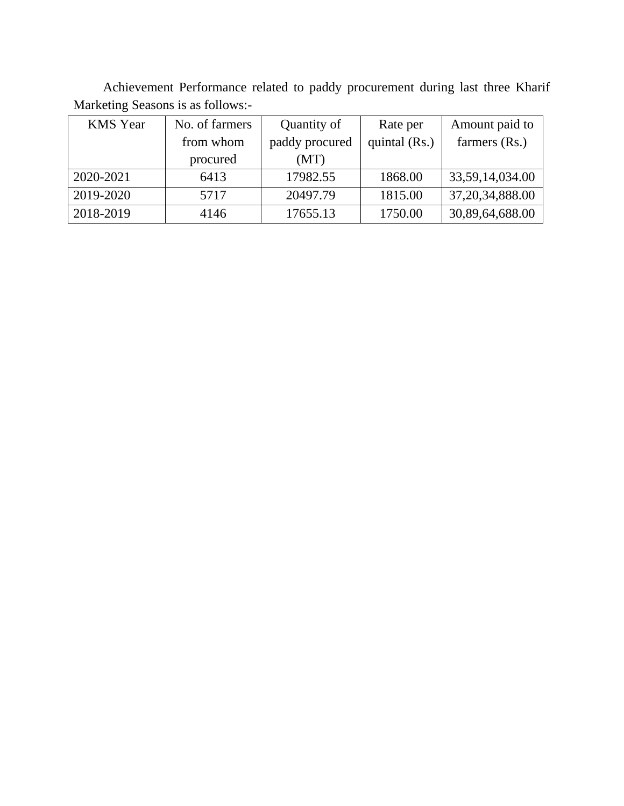Achievement Performance related to paddy procurement during last three Kharif Marketing Seasons is as follows:-

| <b>KMS</b> Year | No. of farmers | Quantity of    | Rate per      | Amount paid to     |
|-----------------|----------------|----------------|---------------|--------------------|
|                 | from whom      | paddy procured | quintal (Rs.) | farmers (Rs.)      |
|                 | procured       | (MT)           |               |                    |
| 2020-2021       | 6413           | 17982.55       | 1868.00       | 33,59,14,034.00    |
| 2019-2020       | 5717           | 20497.79       | 1815.00       | 37, 20, 34, 888.00 |
| 2018-2019       | 4146           | 17655.13       | 1750.00       | 30,89,64,688.00    |